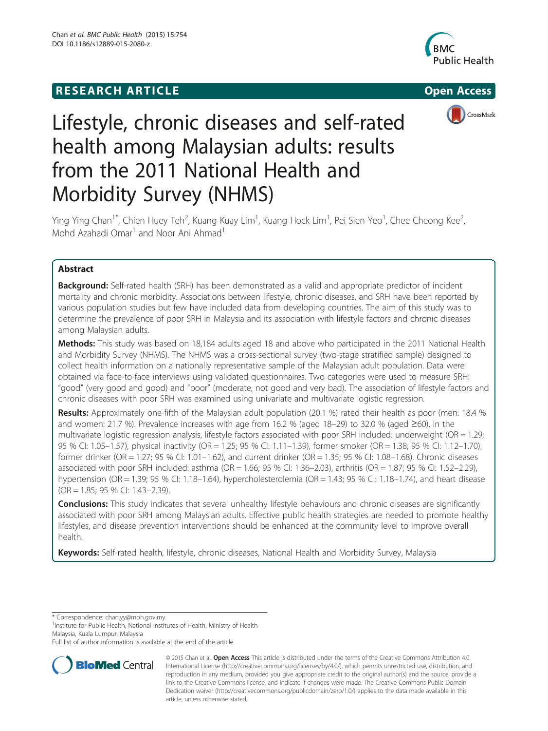# **RESEARCH ARTICLE Example 2008 CONSIDERING CONSIDERING CONSIDERING CONSIDERING CONSIDERING CONSIDERING CONSIDERING CONSIDERING CONSIDERING CONSIDERING CONSIDERING CONSIDERING CONSIDERING CONSIDERING CONSIDERING CONSIDE**





# Lifestyle, chronic diseases and self-rated health among Malaysian adults: results from the 2011 National Health and Morbidity Survey (NHMS)

Ying Ying Chan<sup>1\*</sup>, Chien Huey Teh<sup>2</sup>, Kuang Kuay Lim<sup>1</sup>, Kuang Hock Lim<sup>1</sup>, Pei Sien Yeo<sup>1</sup>, Chee Cheong Kee<sup>2</sup> , Mohd Azahadi Omar<sup>1</sup> and Noor Ani Ahmad<sup>1</sup>

# Abstract

Background: Self-rated health (SRH) has been demonstrated as a valid and appropriate predictor of incident mortality and chronic morbidity. Associations between lifestyle, chronic diseases, and SRH have been reported by various population studies but few have included data from developing countries. The aim of this study was to determine the prevalence of poor SRH in Malaysia and its association with lifestyle factors and chronic diseases among Malaysian adults.

Methods: This study was based on 18,184 adults aged 18 and above who participated in the 2011 National Health and Morbidity Survey (NHMS). The NHMS was a cross-sectional survey (two-stage stratified sample) designed to collect health information on a nationally representative sample of the Malaysian adult population. Data were obtained via face-to-face interviews using validated questionnaires. Two categories were used to measure SRH: "good" (very good and good) and "poor" (moderate, not good and very bad). The association of lifestyle factors and chronic diseases with poor SRH was examined using univariate and multivariate logistic regression.

Results: Approximately one-fifth of the Malaysian adult population (20.1 %) rated their health as poor (men: 18.4 % and women: 21.7 %). Prevalence increases with age from 16.2 % (aged 18–29) to 32.0 % (aged ≥60). In the multivariate logistic regression analysis, lifestyle factors associated with poor SRH included: underweight (OR = 1.29; 95 % CI: 1.05–1.57), physical inactivity (OR = 1.25; 95 % CI: 1.11–1.39), former smoker (OR = 1.38; 95 % CI: 1.12–1.70), former drinker (OR = 1.27; 95 % CI: 1.01–1.62), and current drinker (OR = 1.35; 95 % CI: 1.08–1.68). Chronic diseases associated with poor SRH included: asthma (OR = 1.66; 95 % CI: 1.36–2.03), arthritis (OR = 1.87; 95 % CI: 1.52–2.29), hypertension (OR = 1.39; 95 % CI: 1.18–1.64), hypercholesterolemia (OR = 1.43; 95 % CI: 1.18–1.74), and heart disease (OR = 1.85; 95 % CI: 1.43–2.39).

Conclusions: This study indicates that several unhealthy lifestyle behaviours and chronic diseases are significantly associated with poor SRH among Malaysian adults. Effective public health strategies are needed to promote healthy lifestyles, and disease prevention interventions should be enhanced at the community level to improve overall health.

Keywords: Self-rated health, lifestyle, chronic diseases, National Health and Morbidity Survey, Malaysia

\* Correspondence: [chan.yy@moh.gov.my](mailto:chan.yy@moh.gov.my) <sup>1</sup>

<sup>1</sup> Institute for Public Health, National Institutes of Health, Ministry of Health Malaysia, Kuala Lumpur, Malaysia

Full list of author information is available at the end of the article



© 2015 Chan et al. Open Access This article is distributed under the terms of the Creative Commons Attribution 4.0 International License [\(http://creativecommons.org/licenses/by/4.0/\)](http://creativecommons.org/licenses/by/4.0/), which permits unrestricted use, distribution, and reproduction in any medium, provided you give appropriate credit to the original author(s) and the source, provide a link to the Creative Commons license, and indicate if changes were made. The Creative Commons Public Domain Dedication waiver ([http://creativecommons.org/publicdomain/zero/1.0/\)](http://creativecommons.org/publicdomain/zero/1.0/) applies to the data made available in this article, unless otherwise stated.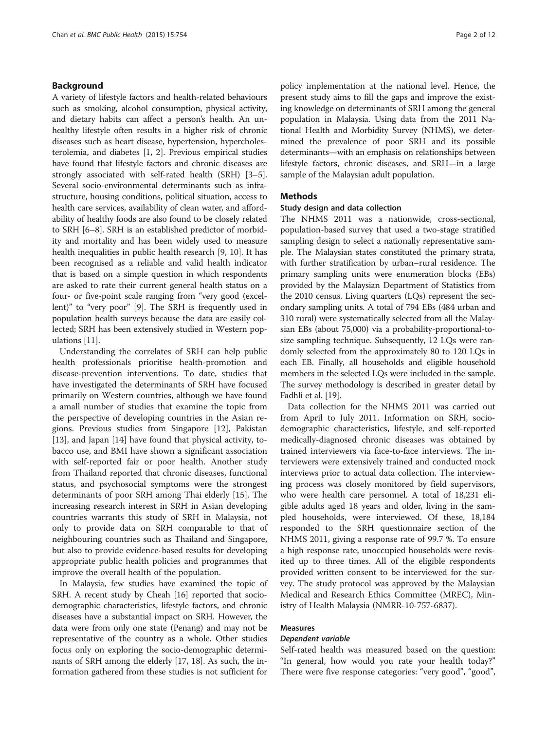## Background

A variety of lifestyle factors and health-related behaviours such as smoking, alcohol consumption, physical activity, and dietary habits can affect a person's health. An unhealthy lifestyle often results in a higher risk of chronic diseases such as heart disease, hypertension, hypercholesterolemia, and diabetes [[1, 2](#page-9-0)]. Previous empirical studies have found that lifestyle factors and chronic diseases are strongly associated with self-rated health (SRH) [[3](#page-9-0)–[5](#page-9-0)]. Several socio-environmental determinants such as infrastructure, housing conditions, political situation, access to health care services, availability of clean water, and affordability of healthy foods are also found to be closely related to SRH [[6](#page-9-0)–[8](#page-9-0)]. SRH is an established predictor of morbidity and mortality and has been widely used to measure health inequalities in public health research [\[9](#page-9-0), [10](#page-10-0)]. It has been recognised as a reliable and valid health indicator that is based on a simple question in which respondents are asked to rate their current general health status on a four- or five-point scale ranging from "very good (excellent)" to "very poor" [[9](#page-9-0)]. The SRH is frequently used in population health surveys because the data are easily collected; SRH has been extensively studied in Western populations [\[11\]](#page-10-0).

Understanding the correlates of SRH can help public health professionals prioritise health-promotion and disease-prevention interventions. To date, studies that have investigated the determinants of SRH have focused primarily on Western countries, although we have found a amall number of studies that examine the topic from the perspective of developing countries in the Asian regions. Previous studies from Singapore [[12](#page-10-0)], Pakistan [[13\]](#page-10-0), and Japan [[14\]](#page-10-0) have found that physical activity, tobacco use, and BMI have shown a significant association with self-reported fair or poor health. Another study from Thailand reported that chronic diseases, functional status, and psychosocial symptoms were the strongest determinants of poor SRH among Thai elderly [[15\]](#page-10-0). The increasing research interest in SRH in Asian developing countries warrants this study of SRH in Malaysia, not only to provide data on SRH comparable to that of neighbouring countries such as Thailand and Singapore, but also to provide evidence-based results for developing appropriate public health policies and programmes that improve the overall health of the population.

In Malaysia, few studies have examined the topic of SRH. A recent study by Cheah [\[16\]](#page-10-0) reported that sociodemographic characteristics, lifestyle factors, and chronic diseases have a substantial impact on SRH. However, the data were from only one state (Penang) and may not be representative of the country as a whole. Other studies focus only on exploring the socio-demographic determinants of SRH among the elderly [\[17, 18\]](#page-10-0). As such, the information gathered from these studies is not sufficient for

policy implementation at the national level. Hence, the present study aims to fill the gaps and improve the existing knowledge on determinants of SRH among the general population in Malaysia. Using data from the 2011 National Health and Morbidity Survey (NHMS), we determined the prevalence of poor SRH and its possible determinants—with an emphasis on relationships between lifestyle factors, chronic diseases, and SRH—in a large sample of the Malaysian adult population.

#### Methods

## Study design and data collection

The NHMS 2011 was a nationwide, cross-sectional, population-based survey that used a two-stage stratified sampling design to select a nationally representative sample. The Malaysian states constituted the primary strata, with further stratification by urban–rural residence. The primary sampling units were enumeration blocks (EBs) provided by the Malaysian Department of Statistics from the 2010 census. Living quarters (LQs) represent the secondary sampling units. A total of 794 EBs (484 urban and 310 rural) were systematically selected from all the Malaysian EBs (about 75,000) via a probability-proportional-tosize sampling technique. Subsequently, 12 LQs were randomly selected from the approximately 80 to 120 LQs in each EB. Finally, all households and eligible household members in the selected LQs were included in the sample. The survey methodology is described in greater detail by Fadhli et al. [\[19](#page-10-0)].

Data collection for the NHMS 2011 was carried out from April to July 2011. Information on SRH, sociodemographic characteristics, lifestyle, and self-reported medically-diagnosed chronic diseases was obtained by trained interviewers via face-to-face interviews. The interviewers were extensively trained and conducted mock interviews prior to actual data collection. The interviewing process was closely monitored by field supervisors, who were health care personnel. A total of 18,231 eligible adults aged 18 years and older, living in the sampled households, were interviewed. Of these, 18,184 responded to the SRH questionnaire section of the NHMS 2011, giving a response rate of 99.7 %. To ensure a high response rate, unoccupied households were revisited up to three times. All of the eligible respondents provided written consent to be interviewed for the survey. The study protocol was approved by the Malaysian Medical and Research Ethics Committee (MREC), Ministry of Health Malaysia (NMRR-10-757-6837).

# Measures

# Dependent variable

Self-rated health was measured based on the question: "In general, how would you rate your health today?" There were five response categories: "very good", "good",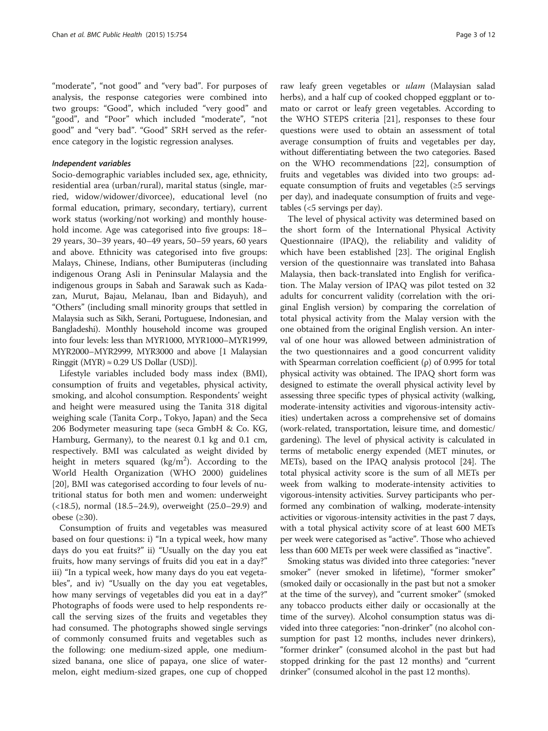"moderate", "not good" and "very bad". For purposes of analysis, the response categories were combined into two groups: "Good", which included "very good" and "good", and "Poor" which included "moderate", "not good" and "very bad". "Good" SRH served as the reference category in the logistic regression analyses.

#### Independent variables

Socio-demographic variables included sex, age, ethnicity, residential area (urban/rural), marital status (single, married, widow/widower/divorcee), educational level (no formal education, primary, secondary, tertiary), current work status (working/not working) and monthly household income. Age was categorised into five groups: 18– 29 years, 30–39 years, 40–49 years, 50–59 years, 60 years and above. Ethnicity was categorised into five groups: Malays, Chinese, Indians, other Bumiputeras (including indigenous Orang Asli in Peninsular Malaysia and the indigenous groups in Sabah and Sarawak such as Kadazan, Murut, Bajau, Melanau, Iban and Bidayuh), and "Others" (including small minority groups that settled in Malaysia such as Sikh, Serani, Portuguese, Indonesian, and Bangladeshi). Monthly household income was grouped into four levels: less than MYR1000, MYR1000–MYR1999, MYR2000–MYR2999, MYR3000 and above [1 Malaysian Ringgit (MYR) ≈ 0.29 US Dollar (USD)].

Lifestyle variables included body mass index (BMI), consumption of fruits and vegetables, physical activity, smoking, and alcohol consumption. Respondents' weight and height were measured using the Tanita 318 digital weighing scale (Tanita Corp., Tokyo, Japan) and the Seca 206 Bodymeter measuring tape (seca GmbH & Co. KG, Hamburg, Germany), to the nearest 0.1 kg and 0.1 cm, respectively. BMI was calculated as weight divided by height in meters squared  $(kg/m^2)$ . According to the World Health Organization (WHO 2000) guidelines [[20\]](#page-10-0), BMI was categorised according to four levels of nutritional status for both men and women: underweight (<18.5), normal (18.5–24.9), overweight (25.0–29.9) and obese (≥30).

Consumption of fruits and vegetables was measured based on four questions: i) "In a typical week, how many days do you eat fruits?" ii) "Usually on the day you eat fruits, how many servings of fruits did you eat in a day?" iii) "In a typical week, how many days do you eat vegetables", and iv) "Usually on the day you eat vegetables, how many servings of vegetables did you eat in a day?" Photographs of foods were used to help respondents recall the serving sizes of the fruits and vegetables they had consumed. The photographs showed single servings of commonly consumed fruits and vegetables such as the following: one medium-sized apple, one mediumsized banana, one slice of papaya, one slice of watermelon, eight medium-sized grapes, one cup of chopped

raw leafy green vegetables or ulam (Malaysian salad herbs), and a half cup of cooked chopped eggplant or tomato or carrot or leafy green vegetables. According to the WHO STEPS criteria [\[21\]](#page-10-0), responses to these four questions were used to obtain an assessment of total average consumption of fruits and vegetables per day, without differentiating between the two categories. Based on the WHO recommendations [\[22](#page-10-0)], consumption of fruits and vegetables was divided into two groups: adequate consumption of fruits and vegetables (≥5 servings per day), and inadequate consumption of fruits and vegetables (<5 servings per day).

The level of physical activity was determined based on the short form of the International Physical Activity Questionnaire (IPAQ), the reliability and validity of which have been established [[23\]](#page-10-0). The original English version of the questionnaire was translated into Bahasa Malaysia, then back-translated into English for verification. The Malay version of IPAQ was pilot tested on 32 adults for concurrent validity (correlation with the original English version) by comparing the correlation of total physical activity from the Malay version with the one obtained from the original English version. An interval of one hour was allowed between administration of the two questionnaires and a good concurrent validity with Spearman correlation coefficient (ρ) of 0.995 for total physical activity was obtained. The IPAQ short form was designed to estimate the overall physical activity level by assessing three specific types of physical activity (walking, moderate-intensity activities and vigorous-intensity activities) undertaken across a comprehensive set of domains (work-related, transportation, leisure time, and domestic/ gardening). The level of physical activity is calculated in terms of metabolic energy expended (MET minutes, or METs), based on the IPAQ analysis protocol [\[24\]](#page-10-0). The total physical activity score is the sum of all METs per week from walking to moderate-intensity activities to vigorous-intensity activities. Survey participants who performed any combination of walking, moderate-intensity activities or vigorous-intensity activities in the past 7 days, with a total physical activity score of at least 600 METs per week were categorised as "active". Those who achieved less than 600 METs per week were classified as "inactive".

Smoking status was divided into three categories: "never smoker" (never smoked in lifetime), "former smoker" (smoked daily or occasionally in the past but not a smoker at the time of the survey), and "current smoker" (smoked any tobacco products either daily or occasionally at the time of the survey). Alcohol consumption status was divided into three categories: "non-drinker" (no alcohol consumption for past 12 months, includes never drinkers), "former drinker" (consumed alcohol in the past but had stopped drinking for the past 12 months) and "current drinker" (consumed alcohol in the past 12 months).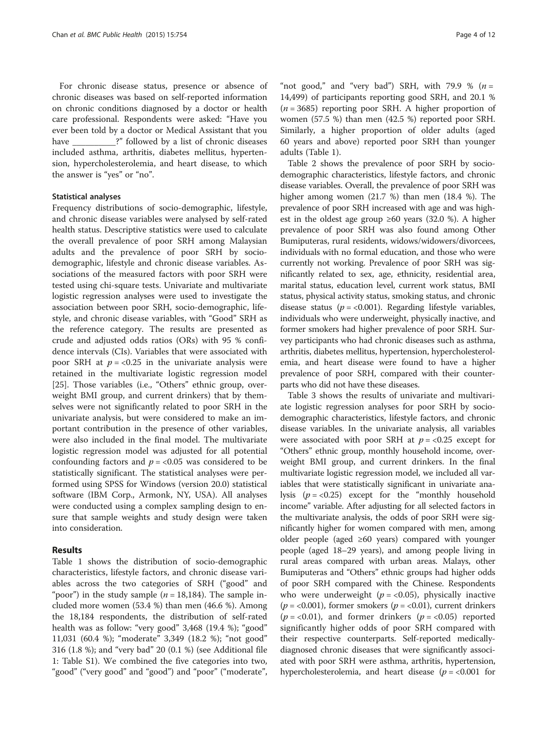For chronic disease status, presence or absence of chronic diseases was based on self-reported information on chronic conditions diagnosed by a doctor or health care professional. Respondents were asked: "Have you ever been told by a doctor or Medical Assistant that you have \_\_\_\_\_\_\_\_\_?" followed by a list of chronic diseases included asthma, arthritis, diabetes mellitus, hypertension, hypercholesterolemia, and heart disease, to which the answer is "yes" or "no".

#### Statistical analyses

Frequency distributions of socio-demographic, lifestyle, and chronic disease variables were analysed by self-rated health status. Descriptive statistics were used to calculate the overall prevalence of poor SRH among Malaysian adults and the prevalence of poor SRH by sociodemographic, lifestyle and chronic disease variables. Associations of the measured factors with poor SRH were tested using chi-square tests. Univariate and multivariate logistic regression analyses were used to investigate the association between poor SRH, socio-demographic, lifestyle, and chronic disease variables, with "Good" SRH as the reference category. The results are presented as crude and adjusted odds ratios (ORs) with 95 % confidence intervals (CIs). Variables that were associated with poor SRH at  $p = < 0.25$  in the univariate analysis were retained in the multivariate logistic regression model [[25\]](#page-10-0). Those variables (i.e., "Others" ethnic group, overweight BMI group, and current drinkers) that by themselves were not significantly related to poor SRH in the univariate analysis, but were considered to make an important contribution in the presence of other variables, were also included in the final model. The multivariate logistic regression model was adjusted for all potential confounding factors and  $p = < 0.05$  was considered to be statistically significant. The statistical analyses were performed using SPSS for Windows (version 20.0) statistical software (IBM Corp., Armonk, NY, USA). All analyses were conducted using a complex sampling design to ensure that sample weights and study design were taken into consideration.

# Results

Table [1](#page-4-0) shows the distribution of socio-demographic characteristics, lifestyle factors, and chronic disease variables across the two categories of SRH ("good" and "poor") in the study sample  $(n = 18,184)$ . The sample included more women (53.4 %) than men (46.6 %). Among the 18,184 respondents, the distribution of self-rated health was as follow: "very good" 3,468 (19.4 %); "good" 11,031 (60.4 %); "moderate" 3,349 (18.2 %); "not good" 316 (1.8 %); and "very bad" 20 (0.1 %) (see Additional file [1:](#page-9-0) Table S1). We combined the five categories into two, "good" ("very good" and "good") and "poor" ("moderate", "not good," and "very bad") SRH, with 79.9 %  $(n =$ 14,499) of participants reporting good SRH, and 20.1 %  $(n = 3685)$  reporting poor SRH. A higher proportion of women (57.5 %) than men (42.5 %) reported poor SRH. Similarly, a higher proportion of older adults (aged 60 years and above) reported poor SRH than younger adults (Table [1](#page-4-0)).

Table [2](#page-5-0) shows the prevalence of poor SRH by sociodemographic characteristics, lifestyle factors, and chronic disease variables. Overall, the prevalence of poor SRH was higher among women (21.7 %) than men (18.4 %). The prevalence of poor SRH increased with age and was highest in the oldest age group  $\geq 60$  years (32.0 %). A higher prevalence of poor SRH was also found among Other Bumiputeras, rural residents, widows/widowers/divorcees, individuals with no formal education, and those who were currently not working. Prevalence of poor SRH was significantly related to sex, age, ethnicity, residential area, marital status, education level, current work status, BMI status, physical activity status, smoking status, and chronic disease status ( $p = < 0.001$ ). Regarding lifestyle variables, individuals who were underweight, physically inactive, and former smokers had higher prevalence of poor SRH. Survey participants who had chronic diseases such as asthma, arthritis, diabetes mellitus, hypertension, hypercholesterolemia, and heart disease were found to have a higher prevalence of poor SRH, compared with their counterparts who did not have these diseases.

Table [3](#page-6-0) shows the results of univariate and multivariate logistic regression analyses for poor SRH by sociodemographic characteristics, lifestyle factors, and chronic disease variables. In the univariate analysis, all variables were associated with poor SRH at  $p = < 0.25$  except for "Others" ethnic group, monthly household income, overweight BMI group, and current drinkers. In the final multivariate logistic regression model, we included all variables that were statistically significant in univariate analysis  $(p = < 0.25)$  except for the "monthly household income" variable. After adjusting for all selected factors in the multivariate analysis, the odds of poor SRH were significantly higher for women compared with men, among older people (aged ≥60 years) compared with younger people (aged 18–29 years), and among people living in rural areas compared with urban areas. Malays, other Bumiputeras and "Others" ethnic groups had higher odds of poor SRH compared with the Chinese. Respondents who were underweight ( $p = < 0.05$ ), physically inactive  $(p = 0.001)$ , former smokers  $(p = 0.01)$ , current drinkers  $(p = < 0.01)$ , and former drinkers  $(p = < 0.05)$  reported significantly higher odds of poor SRH compared with their respective counterparts. Self-reported medicallydiagnosed chronic diseases that were significantly associated with poor SRH were asthma, arthritis, hypertension, hypercholesterolemia, and heart disease ( $p = < 0.001$  for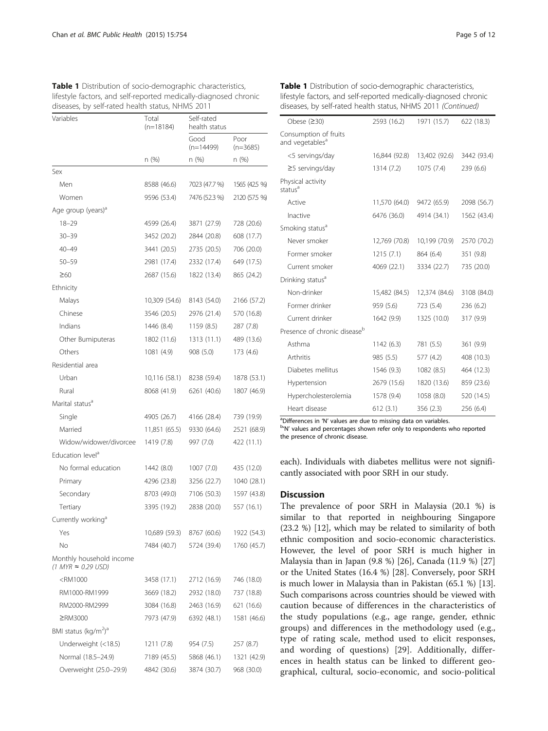| Variables                                                                            | Total<br>$(n=18184)$ | Self-rated<br>health status |                    |  |
|--------------------------------------------------------------------------------------|----------------------|-----------------------------|--------------------|--|
|                                                                                      |                      | Good<br>$(n=14499)$         | Poor<br>$(n=3685)$ |  |
|                                                                                      | n (%)                | n (%)                       | n (%)              |  |
| Sex                                                                                  |                      |                             |                    |  |
| Men                                                                                  | 8588 (46.6)          | 7023 (47.7 %)               | 1565 (42.5 %)      |  |
| Women                                                                                | 9596 (53.4)          | 7476 (52.3 %)               | 2120 (575 %)       |  |
| Age group (years) <sup>a</sup>                                                       |                      |                             |                    |  |
| 18–29                                                                                | 4599 (26.4)          | 3871 (27.9)                 | 728 (20.6)         |  |
| $30 - 39$                                                                            | 3452 (20.2)          | 2844 (20.8)                 | 608 (17.7)         |  |
| $40 - 49$                                                                            | 3441 (20.5)          | 2735 (20.5)                 | 706 (20.0)         |  |
| $50 - 59$                                                                            | 2981 (17.4)          | 2332 (17.4)                 | 649 (17.5)         |  |
| $\geq 60$                                                                            | 2687 (15.6)          | 1822 (13.4)                 | 865 (24.2)         |  |
| Ethnicity                                                                            |                      |                             |                    |  |
| Malays                                                                               | 10,309 (54.6)        | 8143 (54.0)                 | 2166 (57.2)        |  |
| Chinese                                                                              | 3546 (20.5)          | 2976 (21.4)                 | 570 (16.8)         |  |
| Indians                                                                              | 1446 (8.4)           | 1159 (8.5)                  | 287 (7.8)          |  |
| Other Bumiputeras                                                                    | 1802 (11.6)          | 1313 (11.1)                 | 489 (13.6)         |  |
| Others                                                                               | 1081 (4.9)           | 908 (5.0)                   | 173 (4.6)          |  |
| Residential area                                                                     |                      |                             |                    |  |
| Urban                                                                                | 10,116 (58.1)        | 8238 (59.4)                 | 1878 (53.1)        |  |
| Rural                                                                                | 8068 (41.9)          | 6261 (40.6)                 | 1807 (46.9)        |  |
| Marital status <sup>a</sup>                                                          |                      |                             |                    |  |
| Single                                                                               | 4905 (26.7)          | 4166 (28.4)                 | 739 (19.9)         |  |
| Married                                                                              | 11,851 (65.5)        | 9330 (64.6)                 | 2521 (68.9)        |  |
| Widow/widower/divorcee                                                               | 1419 (7.8)           | 997 (7.0)                   | 422 (11.1)         |  |
| Education level <sup>a</sup>                                                         |                      |                             |                    |  |
| No formal education                                                                  | 1442 (8.0)           | 1007(7.0)                   | 435 (12.0)         |  |
| Primary                                                                              | 4296 (23.8)          | 3256 (22.7)                 | 1040 (28.1)        |  |
| Secondary                                                                            | 8703 (49.0)          | 7106 (50.3)                 | 1597 (43.8)        |  |
| Tertiary                                                                             | 3395 (19.2)          | 2838 (20.0)                 | 557 (16.1)         |  |
| Currently working <sup>a</sup>                                                       |                      |                             |                    |  |
| Yes                                                                                  | 10,689 (59.3)        | 8767 (60.6)                 | 1922 (54.3)        |  |
| No                                                                                   | 7484 (40.7)          | 5724 (39.4)                 | 1760 (45.7)        |  |
| Monthly household income<br>$(1$ MYR $\approx$ 0.29 USD)                             |                      |                             |                    |  |
| <rm1000< td=""><td>3458 (17.1)</td><td>2712 (16.9)</td><td>746 (18.0)</td></rm1000<> | 3458 (17.1)          | 2712 (16.9)                 | 746 (18.0)         |  |
| RM1000-RM1999                                                                        | 3669 (18.2)          | 2932 (18.0)                 | 737 (18.8)         |  |
| RM2000-RM2999                                                                        | 3084 (16.8)          | 2463 (16.9)                 | 621 (16.6)         |  |
| ≥RM3000                                                                              | 7973 (47.9)          | 6392 (48.1)                 | 1581 (46.6)        |  |
| BMI status (kg/m <sup>2</sup> ) <sup>a</sup>                                         |                      |                             |                    |  |
| Underweight (<18.5)                                                                  | 1211 (7.8)           | 954 (7.5)                   | 257 (8.7)          |  |
| Normal (18.5-24.9)                                                                   | 7189 (45.5)          | 5868 (46.1)                 | 1321 (42.9)        |  |
| Overweight (25.0–29.9)                                                               | 4842 (30.6)          | 3874 (30.7)                 | 968 (30.0)         |  |

<span id="page-4-0"></span>Table 1 Distribution of socio-demographic characteristics, lifestyle factors, and self-reported medically-diagnosed chronic diseases, by self-rated health status, NHMS 2011

Table 1 Distribution of socio-demographic characteristics, lifestyle factors, and self-reported medically-diagnosed chronic diseases, by self-rated health status, NHMS 2011 (Continued)

| Obese $(230)$                                        | 2593 (16.2)   | 1971 (15.7)   | 622 (18.3)  |
|------------------------------------------------------|---------------|---------------|-------------|
| Consumption of fruits<br>and vegetables <sup>a</sup> |               |               |             |
| <5 servings/day                                      | 16,844 (92.8) | 13,402 (92.6) | 3442 (93.4) |
| $\geq$ 5 servings/day                                | 1314 (7.2)    | 1075 (7.4)    | 239(6.6)    |
| Physical activity<br>status <sup>a</sup>             |               |               |             |
| Active                                               | 11,570 (64.0) | 9472 (65.9)   | 2098 (56.7) |
| Inactive                                             | 6476 (36.0)   | 4914 (34.1)   | 1562 (43.4) |
| Smoking status <sup>a</sup>                          |               |               |             |
| Never smoker                                         | 12,769 (70.8) | 10,199 (70.9) | 2570 (70.2) |
| Former smoker                                        | 1215(7.1)     | 864 (6.4)     | 351 (9.8)   |
| Current smoker                                       | 4069 (22.1)   | 3334 (22.7)   | 735 (20.0)  |
| Drinking status <sup>a</sup>                         |               |               |             |
| Non-drinker                                          | 15,482 (84.5) | 12,374 (84.6) | 3108 (84.0) |
| Former drinker                                       | 959 (5.6)     | 723 (5.4)     | 236 (6.2)   |
| Current drinker                                      | 1642 (9.9)    | 1325 (10.0)   | 317 (9.9)   |
| Presence of chronic disease <sup>b</sup>             |               |               |             |
| Asthma                                               | 1142 (6.3)    | 781 (5.5)     | 361 (9.9)   |
| Arthritis                                            | 985 (5.5)     | 577 (4.2)     | 408 (10.3)  |
| Diabetes mellitus                                    | 1546 (9.3)    | 1082(8.5)     | 464 (12.3)  |
| Hypertension                                         | 2679 (15.6)   | 1820 (13.6)   | 859 (23.6)  |
| Hypercholesterolemia                                 | 1578 (9.4)    | 1058 (8.0)    | 520 (14.5)  |
| Heart disease                                        | 612(3.1)      | 356 (2.3)     | 256 (6.4)   |

<sup>a</sup> Differences in 'N' values are due to missing data on variables.<br><sup>b/N'</sup> values and persentages shown refer only to respondents

b'N' values and percentages shown refer only to respondents who reported the presence of chronic disease.

each). Individuals with diabetes mellitus were not significantly associated with poor SRH in our study.

## **Discussion**

The prevalence of poor SRH in Malaysia (20.1 %) is similar to that reported in neighbouring Singapore (23.2 %) [[12\]](#page-10-0), which may be related to similarity of both ethnic composition and socio-economic characteristics. However, the level of poor SRH is much higher in Malaysia than in Japan (9.8 %) [[26\]](#page-10-0), Canada (11.9 %) [[27](#page-10-0)] or the United States (16.4 %) [[28](#page-10-0)]. Conversely, poor SRH is much lower in Malaysia than in Pakistan (65.1 %) [[13](#page-10-0)]. Such comparisons across countries should be viewed with caution because of differences in the characteristics of the study populations (e.g., age range, gender, ethnic groups) and differences in the methodology used (e.g., type of rating scale, method used to elicit responses, and wording of questions) [\[29](#page-10-0)]. Additionally, differences in health status can be linked to different geographical, cultural, socio-economic, and socio-political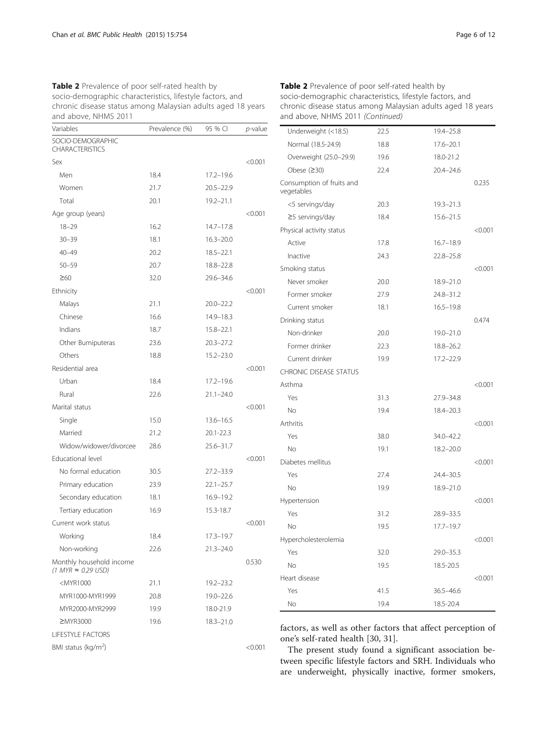<span id="page-5-0"></span>

| <b>Table 2</b> Prevalence of poor self-rated health by      |
|-------------------------------------------------------------|
| socio-demographic characteristics, lifestyle factors, and   |
| chronic disease status among Malaysian adults aged 18 years |
| and above, NHMS 2011                                        |

| Variables                                                                          | Prevalence (%) | 95 % CI       | <i>p</i> -value |
|------------------------------------------------------------------------------------|----------------|---------------|-----------------|
| SOCIO-DEMOGRAPHIC<br><b>CHARACTERISTICS</b>                                        |                |               |                 |
| Sex                                                                                |                |               | < 0.001         |
| Men                                                                                | 18.4           | $17.2 - 19.6$ |                 |
| Women                                                                              | 21.7           | $20.5 - 22.9$ |                 |
| Total                                                                              | 20.1           | $19.2 - 21.1$ |                 |
| Age group (years)                                                                  |                |               | < 0.001         |
| $18 - 29$                                                                          | 16.2           | $14.7 - 17.8$ |                 |
| $30 - 39$                                                                          | 18.1           | $16.3 - 20.0$ |                 |
| 40-49                                                                              | 20.2           | $18.5 - 22.1$ |                 |
| $50 - 59$                                                                          | 20.7           | $18.8 - 22.8$ |                 |
| $\geq 60$                                                                          | 32.0           | 29.6-34.6     |                 |
| Ethnicity                                                                          |                |               | < 0.001         |
| Malays                                                                             | 21.1           | $20.0 - 22.2$ |                 |
| Chinese                                                                            | 16.6           | 14.9-18.3     |                 |
| Indians                                                                            | 18.7           | $15.8 - 22.1$ |                 |
| Other Bumiputeras                                                                  | 23.6           | $20.3 - 27.2$ |                 |
| Others                                                                             | 18.8           | $15.2 - 23.0$ |                 |
| Residential area                                                                   |                |               | < 0.001         |
| Urban                                                                              | 18.4           | $17.2 - 19.6$ |                 |
| Rural                                                                              | 22.6           | $21.1 - 24.0$ |                 |
| Marital status                                                                     |                |               | < 0.001         |
| Single                                                                             | 15.0           | $13.6 - 16.5$ |                 |
| Married                                                                            | 21.2           | 20.1-22.3     |                 |
| Widow/widower/divorcee                                                             | 28.6           | $25.6 - 31.7$ |                 |
| Educational level                                                                  |                |               | < 0.001         |
| No formal education                                                                | 30.5           | $27.2 - 33.9$ |                 |
| Primary education                                                                  | 23.9           | $22.1 - 25.7$ |                 |
| Secondary education                                                                | 18.1           | 16.9-19.2     |                 |
| Tertiary education                                                                 | 16.9           | 15.3-18.7     |                 |
| Current work status                                                                |                |               | < 0.001         |
| Working                                                                            | 18.4           | $17.3 - 19.7$ |                 |
| Non-working                                                                        | 22.6           | $21.3 - 24.0$ |                 |
| Monthly household income<br>$(1$ MYR $\approx$ 0.29 USD)                           |                |               | 0.530           |
| <myr1000< td=""><td>21.1</td><td><math>19.2 - 23.2</math></td><td></td></myr1000<> | 21.1           | $19.2 - 23.2$ |                 |
| MYR1000-MYR1999                                                                    | 20.8           | $19.0 - 22.6$ |                 |
| MYR2000-MYR2999                                                                    | 19.9           | 18.0-21.9     |                 |
| ≥MYR3000                                                                           | 19.6           | 18.3-21.0     |                 |
| <b>LIFESTYLE FACTORS</b>                                                           |                |               |                 |
| BMI status (kg/m <sup>2</sup> )                                                    |                |               | < 0.001         |

| <b>Table 2</b> Prevalence of poor self-rated health by      |
|-------------------------------------------------------------|
| socio-demographic characteristics, lifestyle factors, and   |
| chronic disease status among Malaysian adults aged 18 years |
| and above, NHMS 2011 (Continued)                            |

| Underweight (<18.5)                     | 22.5 | 19.4-25.8     |         |
|-----------------------------------------|------|---------------|---------|
| Normal (18.5-24.9)                      | 18.8 | $17.6 - 20.1$ |         |
| Overweight (25.0-29.9)                  | 19.6 | 18.0-21.2     |         |
| Obese $(230)$                           | 22.4 | $20.4 - 24.6$ |         |
| Consumption of fruits and<br>vegetables |      |               | 0.235   |
| <5 servings/day                         | 20.3 | $19.3 - 21.3$ |         |
| $\geq$ 5 servings/day                   | 18.4 | $15.6 - 21.5$ |         |
| Physical activity status                |      |               | < 0.001 |
| Active                                  | 17.8 | $16.7 - 18.9$ |         |
| Inactive                                | 24.3 | $22.8 - 25.8$ |         |
| Smoking status                          |      |               | < 0.001 |
| Never smoker                            | 20.0 | 18.9-21.0     |         |
| Former smoker                           | 27.9 | 24.8-31.2     |         |
| Current smoker                          | 18.1 | $16.5 - 19.8$ |         |
| Drinking status                         |      |               | 0.474   |
| Non-drinker                             | 20.0 | $19.0 - 21.0$ |         |
| Former drinker                          | 22.3 | $18.8 - 26.2$ |         |
| Current drinker                         | 19.9 | $17.2 - 22.9$ |         |
| <b>CHRONIC DISEASE STATUS</b>           |      |               |         |
| Asthma                                  |      |               | < 0.001 |
| Yes                                     | 31.3 | 27.9-34.8     |         |
| No                                      | 19.4 | $18.4 - 20.3$ |         |
| Arthritis                               |      |               | < 0.001 |
| Yes                                     | 38.0 | 34.0-42.2     |         |
| No                                      | 19.1 | $18.2 - 20.0$ |         |
| Diabetes mellitus                       |      |               | < 0.001 |
| Yes                                     | 27.4 | 24.4-30.5     |         |
| No                                      | 19.9 | 18.9-21.0     |         |
| Hypertension                            |      |               | < 0.001 |
| Yes                                     | 31.2 | 28.9-33.5     |         |
| No                                      | 19.5 | $17.7 - 19.7$ |         |
| Hypercholesterolemia                    |      |               | < 0.001 |
| Yes                                     | 32.0 | 29.0-35.3     |         |
| No                                      | 19.5 | 18.5-20.5     |         |
| Heart disease                           |      |               | < 0.001 |
| Yes                                     | 41.5 | $36.5 - 46.6$ |         |
| No                                      | 19.4 | 18.5-20.4     |         |

factors, as well as other factors that affect perception of one's self-rated health [[30, 31](#page-10-0)].

The present study found a significant association between specific lifestyle factors and SRH. Individuals who are underweight, physically inactive, former smokers,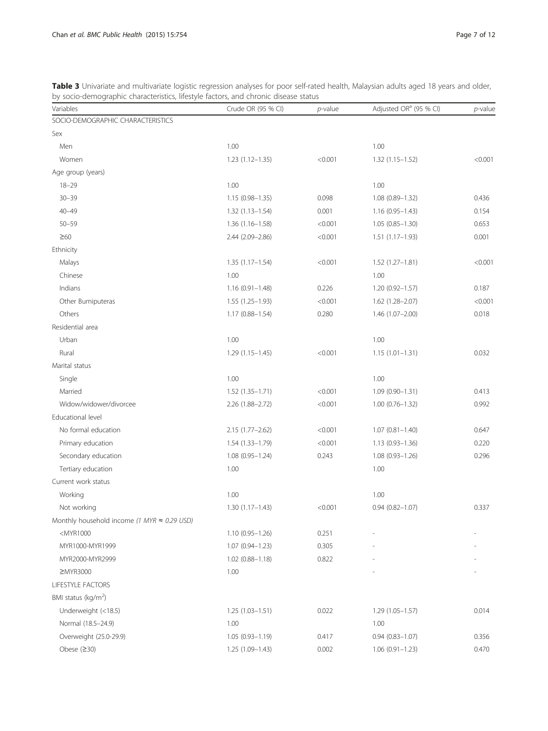<span id="page-6-0"></span>**Table 3** Univariate and multivariate logistic regression analyses for poor self-rated health, Malaysian adults aged 18 years and older, by socio-demographic characteristics, lifestyle factors, and chronic disease status

| Variables                                                                                          | Crude OR (95 % CI)  | $p$ -value | Adjusted OR <sup>a</sup> (95 % CI) | $p$ -value |
|----------------------------------------------------------------------------------------------------|---------------------|------------|------------------------------------|------------|
| SOCIO-DEMOGRAPHIC CHARACTERISTICS                                                                  |                     |            |                                    |            |
| Sex                                                                                                |                     |            |                                    |            |
| Men                                                                                                | 1.00                |            | 1.00                               |            |
| Women                                                                                              | $1.23(1.12 - 1.35)$ | < 0.001    | $1.32(1.15 - 1.52)$                | < 0.001    |
| Age group (years)                                                                                  |                     |            |                                    |            |
| $18 - 29$                                                                                          | 1.00                |            | 1.00                               |            |
| $30 - 39$                                                                                          | 1.15 (0.98-1.35)    | 0.098      | 1.08 (0.89-1.32)                   | 0.436      |
| $40 - 49$                                                                                          | $1.32(1.13 - 1.54)$ | 0.001      | $1.16(0.95 - 1.43)$                | 0.154      |
| $50 - 59$                                                                                          | $1.36(1.16 - 1.58)$ | < 0.001    | $1.05(0.85 - 1.30)$                | 0.653      |
| $\geq 60$                                                                                          | 2.44 (2.09-2.86)    | < 0.001    | $1.51(1.17-1.93)$                  | 0.001      |
| Ethnicity                                                                                          |                     |            |                                    |            |
| Malays                                                                                             | $1.35(1.17-1.54)$   | < 0.001    | $1.52(1.27 - 1.81)$                | < 0.001    |
| Chinese                                                                                            | 1.00                |            | 1.00                               |            |
| Indians                                                                                            | $1.16(0.91 - 1.48)$ | 0.226      | 1.20 (0.92-1.57)                   | 0.187      |
| Other Bumiputeras                                                                                  | $1.55(1.25 - 1.93)$ | < 0.001    | $1.62(1.28 - 2.07)$                | < 0.001    |
| Others                                                                                             | $1.17(0.88 - 1.54)$ | 0.280      | $1.46(1.07 - 2.00)$                | 0.018      |
| Residential area                                                                                   |                     |            |                                    |            |
| Urban                                                                                              | 1.00                |            | 1.00                               |            |
| Rural                                                                                              | $1.29(1.15 - 1.45)$ | < 0.001    | $1.15(1.01-1.31)$                  | 0.032      |
| Marital status                                                                                     |                     |            |                                    |            |
| Single                                                                                             | 1.00                |            | 1.00                               |            |
| Married                                                                                            | $1.52(1.35 - 1.71)$ | < 0.001    | $1.09(0.90 - 1.31)$                | 0.413      |
| Widow/widower/divorcee                                                                             | 2.26 (1.88-2.72)    | < 0.001    | $1.00(0.76 - 1.32)$                | 0.992      |
| Educational level                                                                                  |                     |            |                                    |            |
| No formal education                                                                                | $2.15(1.77 - 2.62)$ | < 0.001    | $1.07(0.81 - 1.40)$                | 0.647      |
| Primary education                                                                                  | 1.54 (1.33-1.79)    | < 0.001    | $1.13(0.93 - 1.36)$                | 0.220      |
| Secondary education                                                                                | $1.08(0.95 - 1.24)$ | 0.243      | 1.08 (0.93-1.26)                   | 0.296      |
| Tertiary education                                                                                 | 1.00                |            | 1.00                               |            |
| Current work status                                                                                |                     |            |                                    |            |
| Working                                                                                            | 1.00                |            | 1.00                               |            |
| Not working                                                                                        | $1.30(1.17-1.43)$   | < 0.001    | $0.94(0.82 - 1.07)$                | 0.337      |
| Monthly household income (1 MYR $\approx$ 0.29 USD)                                                |                     |            |                                    |            |
| <myr1000< td=""><td><math>1.10(0.95 - 1.26)</math></td><td>0.251</td><td></td><td></td></myr1000<> | $1.10(0.95 - 1.26)$ | 0.251      |                                    |            |
| MYR1000-MYR1999                                                                                    | $1.07(0.94 - 1.23)$ | 0.305      |                                    |            |
| MYR2000-MYR2999                                                                                    | $1.02(0.88 - 1.18)$ | 0.822      |                                    |            |
| ≥MYR3000                                                                                           | 1.00                |            |                                    |            |
| LIFESTYLE FACTORS                                                                                  |                     |            |                                    |            |
| BMI status (kg/m <sup>2</sup> )                                                                    |                     |            |                                    |            |
| Underweight (<18.5)                                                                                | $1.25(1.03 - 1.51)$ | 0.022      | $1.29(1.05 - 1.57)$                | 0.014      |
| Normal (18.5-24.9)                                                                                 | 1.00                |            | 1.00                               |            |
| Overweight (25.0-29.9)                                                                             | 1.05 (0.93-1.19)    | 0.417      | $0.94$ $(0.83 - 1.07)$             | 0.356      |
| Obese $(230)$                                                                                      | $1.25(1.09-1.43)$   | 0.002      | $1.06(0.91 - 1.23)$                | 0.470      |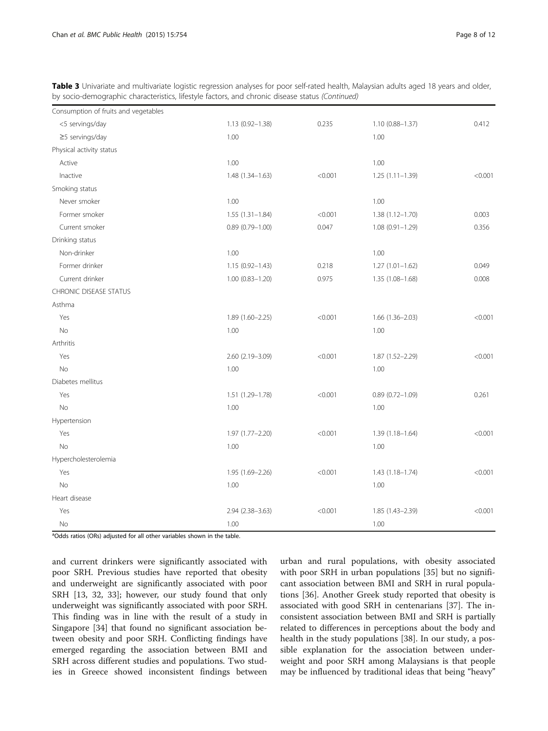Table 3 Univariate and multivariate logistic regression analyses for poor self-rated health, Malaysian adults aged 18 years and older, by socio-demographic characteristics, lifestyle factors, and chronic disease status (Continued)

| Consumption of fruits and vegetables |                     |         |                     |         |
|--------------------------------------|---------------------|---------|---------------------|---------|
| <5 servings/day                      | 1.13 (0.92-1.38)    | 0.235   | $1.10(0.88 - 1.37)$ | 0.412   |
| ≥5 servings/day                      | 1.00                |         | 1.00                |         |
| Physical activity status             |                     |         |                     |         |
| Active                               | 1.00                |         | 1.00                |         |
| Inactive                             | $1.48(1.34 - 1.63)$ | < 0.001 | $1.25(1.11 - 1.39)$ | < 0.001 |
| Smoking status                       |                     |         |                     |         |
| Never smoker                         | 1.00                |         | 1.00                |         |
| Former smoker                        | $1.55(1.31 - 1.84)$ | < 0.001 | $1.38(1.12 - 1.70)$ | 0.003   |
| Current smoker                       | $0.89(0.79 - 1.00)$ | 0.047   | $1.08(0.91 - 1.29)$ | 0.356   |
| Drinking status                      |                     |         |                     |         |
| Non-drinker                          | 1.00                |         | 1.00                |         |
| Former drinker                       | $1.15(0.92 - 1.43)$ | 0.218   | $1.27(1.01 - 1.62)$ | 0.049   |
| Current drinker                      | $1.00(0.83 - 1.20)$ | 0.975   | 1.35 (1.08-1.68)    | 0.008   |
| <b>CHRONIC DISEASE STATUS</b>        |                     |         |                     |         |
| Asthma                               |                     |         |                     |         |
| Yes                                  | $1.89(1.60 - 2.25)$ | < 0.001 | $1.66(1.36 - 2.03)$ | < 0.001 |
| <b>No</b>                            | 1.00                |         | 1.00                |         |
| Arthritis                            |                     |         |                     |         |
| Yes                                  | 2.60 (2.19-3.09)    | < 0.001 | 1.87 (1.52-2.29)    | < 0.001 |
| No                                   | 1.00                |         | 1.00                |         |
| Diabetes mellitus                    |                     |         |                     |         |
| Yes                                  | 1.51 (1.29-1.78)    | < 0.001 | $0.89(0.72 - 1.09)$ | 0.261   |
| No                                   | 1.00                |         | 1.00                |         |
| Hypertension                         |                     |         |                     |         |
| Yes                                  | $1.97(1.77 - 2.20)$ | < 0.001 | $1.39(1.18 - 1.64)$ | < 0.001 |
| <b>No</b>                            | 1.00                |         | 1.00                |         |
| Hypercholesterolemia                 |                     |         |                     |         |
| Yes                                  | 1.95 (1.69-2.26)    | < 0.001 | 1.43 (1.18-1.74)    | < 0.001 |
| <b>No</b>                            | 1.00                |         | 1.00                |         |
| Heart disease                        |                     |         |                     |         |
| Yes                                  | 2.94 (2.38-3.63)    | < 0.001 | 1.85 (1.43-2.39)    | < 0.001 |
| No                                   | 1.00                |         | 1.00                |         |

<sup>a</sup>Odds ratios (ORs) adjusted for all other variables shown in the table.

and current drinkers were significantly associated with poor SRH. Previous studies have reported that obesity and underweight are significantly associated with poor SRH [\[13](#page-10-0), [32, 33\]](#page-10-0); however, our study found that only underweight was significantly associated with poor SRH. This finding was in line with the result of a study in Singapore [\[34\]](#page-10-0) that found no significant association between obesity and poor SRH. Conflicting findings have emerged regarding the association between BMI and SRH across different studies and populations. Two studies in Greece showed inconsistent findings between

urban and rural populations, with obesity associated with poor SRH in urban populations [\[35](#page-10-0)] but no significant association between BMI and SRH in rural populations [[36](#page-10-0)]. Another Greek study reported that obesity is associated with good SRH in centenarians [\[37\]](#page-10-0). The inconsistent association between BMI and SRH is partially related to differences in perceptions about the body and health in the study populations [\[38\]](#page-10-0). In our study, a possible explanation for the association between underweight and poor SRH among Malaysians is that people may be influenced by traditional ideas that being "heavy"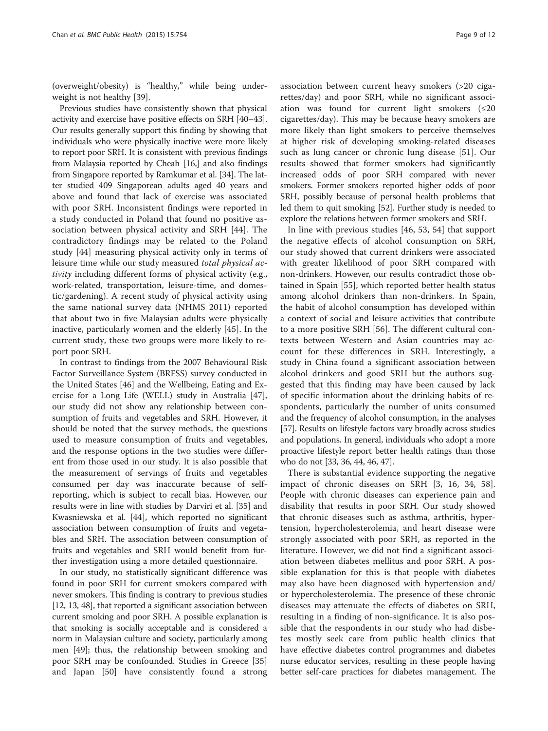(overweight/obesity) is "healthy," while being underweight is not healthy [\[39](#page-10-0)].

Previous studies have consistently shown that physical activity and exercise have positive effects on SRH [\[40](#page-10-0)–[43](#page-10-0)]. Our results generally support this finding by showing that individuals who were physically inactive were more likely to report poor SRH. It is consistent with previous findings from Malaysia reported by Cheah [16,] and also findings from Singapore reported by Ramkumar et al. [\[34](#page-10-0)]. The latter studied 409 Singaporean adults aged 40 years and above and found that lack of exercise was associated with poor SRH. Inconsistent findings were reported in a study conducted in Poland that found no positive association between physical activity and SRH [\[44](#page-10-0)]. The contradictory findings may be related to the Poland study [\[44](#page-10-0)] measuring physical activity only in terms of leisure time while our study measured total physical activity including different forms of physical activity (e.g., work-related, transportation, leisure-time, and domestic/gardening). A recent study of physical activity using the same national survey data (NHMS 2011) reported that about two in five Malaysian adults were physically inactive, particularly women and the elderly [[45\]](#page-10-0). In the current study, these two groups were more likely to report poor SRH.

In contrast to findings from the 2007 Behavioural Risk Factor Surveillance System (BRFSS) survey conducted in the United States [\[46](#page-10-0)] and the Wellbeing, Eating and Exercise for a Long Life (WELL) study in Australia [\[47](#page-10-0)], our study did not show any relationship between consumption of fruits and vegetables and SRH. However, it should be noted that the survey methods, the questions used to measure consumption of fruits and vegetables, and the response options in the two studies were different from those used in our study. It is also possible that the measurement of servings of fruits and vegetables consumed per day was inaccurate because of selfreporting, which is subject to recall bias. However, our results were in line with studies by Darviri et al. [[35](#page-10-0)] and Kwasniewska et al. [[44\]](#page-10-0), which reported no significant association between consumption of fruits and vegetables and SRH. The association between consumption of fruits and vegetables and SRH would benefit from further investigation using a more detailed questionnaire.

In our study, no statistically significant difference was found in poor SRH for current smokers compared with never smokers. This finding is contrary to previous studies [[12](#page-10-0), [13, 48\]](#page-10-0), that reported a significant association between current smoking and poor SRH. A possible explanation is that smoking is socially acceptable and is considered a norm in Malaysian culture and society, particularly among men [[49](#page-10-0)]; thus, the relationship between smoking and poor SRH may be confounded. Studies in Greece [\[35](#page-10-0)] and Japan [[50\]](#page-10-0) have consistently found a strong

association between current heavy smokers (>20 cigarettes/day) and poor SRH, while no significant association was found for current light smokers  $(\leq 20)$ cigarettes/day). This may be because heavy smokers are more likely than light smokers to perceive themselves at higher risk of developing smoking-related diseases such as lung cancer or chronic lung disease [\[51](#page-10-0)]. Our results showed that former smokers had significantly increased odds of poor SRH compared with never smokers. Former smokers reported higher odds of poor SRH, possibly because of personal health problems that led them to quit smoking [\[52\]](#page-10-0). Further study is needed to explore the relations between former smokers and SRH.

In line with previous studies [[46](#page-10-0), [53, 54](#page-10-0)] that support the negative effects of alcohol consumption on SRH, our study showed that current drinkers were associated with greater likelihood of poor SRH compared with non-drinkers. However, our results contradict those obtained in Spain [[55\]](#page-10-0), which reported better health status among alcohol drinkers than non-drinkers. In Spain, the habit of alcohol consumption has developed within a context of social and leisure activities that contribute to a more positive SRH [\[56](#page-10-0)]. The different cultural contexts between Western and Asian countries may account for these differences in SRH. Interestingly, a study in China found a significant association between alcohol drinkers and good SRH but the authors suggested that this finding may have been caused by lack of specific information about the drinking habits of respondents, particularly the number of units consumed and the frequency of alcohol consumption, in the analyses [[57](#page-10-0)]. Results on lifestyle factors vary broadly across studies and populations. In general, individuals who adopt a more proactive lifestyle report better health ratings than those who do not [\[33, 36](#page-10-0), [44, 46, 47](#page-10-0)].

There is substantial evidence supporting the negative impact of chronic diseases on SRH [[3,](#page-9-0) [16](#page-10-0), [34](#page-10-0), [58](#page-11-0)]. People with chronic diseases can experience pain and disability that results in poor SRH. Our study showed that chronic diseases such as asthma, arthritis, hypertension, hypercholesterolemia, and heart disease were strongly associated with poor SRH, as reported in the literature. However, we did not find a significant association between diabetes mellitus and poor SRH. A possible explanation for this is that people with diabetes may also have been diagnosed with hypertension and/ or hypercholesterolemia. The presence of these chronic diseases may attenuate the effects of diabetes on SRH, resulting in a finding of non-significance. It is also possible that the respondents in our study who had disbetes mostly seek care from public health clinics that have effective diabetes control programmes and diabetes nurse educator services, resulting in these people having better self-care practices for diabetes management. The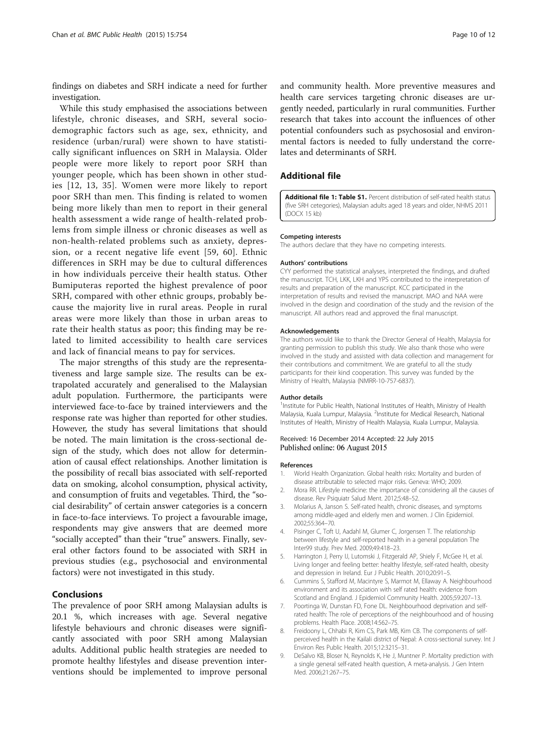<span id="page-9-0"></span>findings on diabetes and SRH indicate a need for further investigation.

While this study emphasised the associations between lifestyle, chronic diseases, and SRH, several sociodemographic factors such as age, sex, ethnicity, and residence (urban/rural) were shown to have statistically significant influences on SRH in Malaysia. Older people were more likely to report poor SRH than younger people, which has been shown in other studies [\[12, 13](#page-10-0), [35](#page-10-0)]. Women were more likely to report poor SRH than men. This finding is related to women being more likely than men to report in their general health assessment a wide range of health-related problems from simple illness or chronic diseases as well as non-health-related problems such as anxiety, depression, or a recent negative life event [[59](#page-11-0), [60\]](#page-11-0). Ethnic differences in SRH may be due to cultural differences in how individuals perceive their health status. Other Bumiputeras reported the highest prevalence of poor SRH, compared with other ethnic groups, probably because the majority live in rural areas. People in rural areas were more likely than those in urban areas to rate their health status as poor; this finding may be related to limited accessibility to health care services and lack of financial means to pay for services.

The major strengths of this study are the representativeness and large sample size. The results can be extrapolated accurately and generalised to the Malaysian adult population. Furthermore, the participants were interviewed face-to-face by trained interviewers and the response rate was higher than reported for other studies. However, the study has several limitations that should be noted. The main limitation is the cross-sectional design of the study, which does not allow for determination of causal effect relationships. Another limitation is the possibility of recall bias associated with self-reported data on smoking, alcohol consumption, physical activity, and consumption of fruits and vegetables. Third, the "social desirability" of certain answer categories is a concern in face-to-face interviews. To project a favourable image, respondents may give answers that are deemed more "socially accepted" than their "true" answers. Finally, several other factors found to be associated with SRH in previous studies (e.g., psychosocial and environmental factors) were not investigated in this study.

# Conclusions

The prevalence of poor SRH among Malaysian adults is 20.1 %, which increases with age. Several negative lifestyle behaviours and chronic diseases were significantly associated with poor SRH among Malaysian adults. Additional public health strategies are needed to promote healthy lifestyles and disease prevention interventions should be implemented to improve personal and community health. More preventive measures and health care services targeting chronic diseases are urgently needed, particularly in rural communities. Further research that takes into account the influences of other potential confounders such as psychososial and environmental factors is needed to fully understand the correlates and determinants of SRH.

# Additional file

[Additional file 1: Table S1.](http://www.biomedcentral.com/content/supplementary/s12889-015-2080-z-s1.docx) Percent distribution of self-rated health status (five SRH cetegories), Malaysian adults aged 18 years and older, NHMS 2011 (DOCX 15 kb)

#### Competing interests

The authors declare that they have no competing interests.

#### Authors' contributions

CYY performed the statistical analyses, interpreted the findings, and drafted the manuscript. TCH, LKK, LKH and YPS contributed to the interpretation of results and preparation of the manuscript. KCC participated in the interpretation of results and revised the manuscript. MAO and NAA were involved in the design and coordination of the study and the revision of the manuscript. All authors read and approved the final manuscript.

#### Acknowledgements

The authors would like to thank the Director General of Health, Malaysia for granting permission to publish this study. We also thank those who were involved in the study and assisted with data collection and management for their contributions and commitment. We are grateful to all the study participants for their kind cooperation. This survey was funded by the Ministry of Health, Malaysia (NMRR-10-757-6837).

#### Author details

<sup>1</sup>Institute for Public Health, National Institutes of Health, Ministry of Health Malaysia, Kuala Lumpur, Malaysia. <sup>2</sup>Institute for Medical Research, National Institutes of Health, Ministry of Health Malaysia, Kuala Lumpur, Malaysia.

#### Received: 16 December 2014 Accepted: 22 July 2015 Published online: 06 August 2015

#### References

- 1. World Health Organization. Global health risks: Mortality and burden of disease attributable to selected major risks. Geneva: WHO; 2009.
- 2. Mora RR. Lifestyle medicine: the importance of considering all the causes of disease. Rev Psiquiatr Salud Ment. 2012;5:48–52.
- 3. Molarius A, Janson S. Self-rated health, chronic diseases, and symptoms among middle-aged and elderly men and women. J Clin Epidemiol. 2002;55:364–70.
- 4. Pisinger C, Toft U, Aadahl M, Glumer C, Jorgensen T. The relationship between lifestyle and self-reported health in a general population The Inter99 study. Prev Med. 2009;49:418–23.
- 5. Harrington J, Perry IJ, Lutomski J, Fitzgerald AP, Shiely F, McGee H, et al. Living longer and feeling better: healthy lifestyle, self-rated health, obesity and depression in Ireland. Eur J Public Health. 2010;20:91–5.
- 6. Cummins S, Stafford M, Macintyre S, Marmot M, Ellaway A. Neighbourhood environment and its association with self rated health: evidence from Scotland and England. J Epidemiol Community Health. 2005;59:207–13.
- 7. Poortinga W, Dunstan FD, Fone DL. Neighbourhood deprivation and selfrated health: The role of perceptions of the neighbourhood and of housing problems. Health Place. 2008;14:562–75.
- 8. Freidoony L, Chhabi R, Kim CS, Park MB, Kim CB. The components of selfperceived health in the Kailali district of Nepal: A cross-sectional survey. Int J Environ Res Public Health. 2015;12:3215–31.
- 9. DeSalvo KB, Bloser N, Reynolds K, He J, Muntner P. Mortality prediction with a single general self-rated health question, A meta-analysis. J Gen Intern Med. 2006;21:267–75.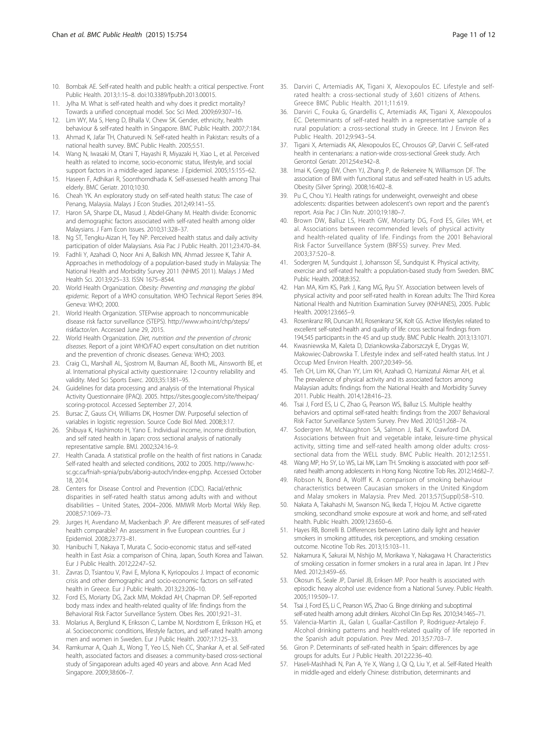- <span id="page-10-0"></span>10. Bombak AE. Self-rated health and public health: a critical perspective. Front Public Health. 2013;1:15–8. doi:[10.3389/fpubh.2013.00015.](http://dx.doi.org/10.3389/fpubh.2013.00015)
- 11. Jylha M. What is self-rated health and why does it predict mortality? Towards a unified conceptual model. Soc Sci Med. 2009;69:307–16.
- 12. Lim WY, Ma S, Heng D, Bhalla V, Chew SK. Gender, ethnicity, health behaviour & self-rated health in Singapore. BMC Public Health. 2007;7:184.
- 13. Ahmad K, Jafar TH, Chaturvedi N. Self-rated health in Pakistan: results of a national health survey. BMC Public Health. 2005;5:51.
- 14. Wang N, Iwasaki M, Otani T, Hayashi R, Miyazaki H, Xiao L, et al. Perceived health as related to income, socio-economic status, lifestyle, and social support factors in a middle-aged Japanese. J Epidemiol. 2005;15:155–62.
- 15. Haseen F, Adhikari R, Soonthorndhada K. Self-assessed health among Thai elderly. BMC Geriatr. 2010;10:30.
- 16. Cheah YK. An exploratory study on self-rated health status: The case of Penang, Malaysia. Malays J Econ Studies. 2012;49:141–55.
- 17. Haron SA, Sharpe DL, Masud J, Abdel-Ghany M. Health divide: Economic and demographic factors associated with self-rated health among older Malaysians. J Fam Econ Issues. 2010;31:328–37.
- 18. Ng ST, Tengku-Aizan H, Tey NP. Perceived health status and daily activity participation of older Malaysians. Asia Pac J Public Health. 2011;23:470–84.
- 19. Fadhli Y, Azahadi O, Noor Ani A, Balkish MN, Ahmad Jessree K, Tahir A. Approaches in methodology of a population-based study in Malaysia: The National Health and Morbidity Survey 2011 (NHMS 2011). Malays J Med Health Sci. 2013;9:25–33. ISSN 1675–8544.
- 20. World Health Organization. Obesity: Preventing and managing the global epidemic. Report of a WHO consultation. WHO Technical Report Series 894. Geneva: WHO; 2000.
- 21. World Health Organization. STEPwise approach to noncommunicable disease risk factor surveillance (STEPS). [http://www.who.int/chp/steps/](http://www.who.int/chp/steps/riskfactor/en) [riskfactor/en.](http://www.who.int/chp/steps/riskfactor/en) Accessed June 29, 2015.
- 22. World Health Organization. Diet, nutrition and the prevention of chronic diseases. Report of a joint WHO/FAO expert consultation on diet nutrition and the prevention of chronic diseases. Geneva: WHO; 2003.
- 23. Craig CL, Marshall AL, Sjostrom M, Bauman AE, Booth ML, Ainsworth BE, et al. International physical activity questionnaire: 12-country reliability and validity. Med Sci Sports Exerc. 2003;35:1381–95.
- 24. Guidelines for data processing and analysis of the International Physical Activity Questionnaire (IPAQ). 2005. [https://sites.google.com/site/theipaq/](https://sites.google.com/site/theipaq/scoring-protocol) [scoring-protocol](https://sites.google.com/site/theipaq/scoring-protocol). Accessed September 27, 2014.
- 25. Bursac Z, Gauss CH, Williams DK, Hosmer DW. Purposeful selection of variables in logistic regression. Source Code Biol Med. 2008;3:17.
- 26. Shibuya K, Hashimoto H, Yano E. Individual income, income distribution, and self rated health in Japan: cross sectional analysis of nationally representative sample. BMJ. 2002;324:16–9.
- 27. Health Canada. A statistical profile on the health of first nations in Canada: Self-rated health and selected conditions, 2002 to 2005. [http://www.hc](http://www.hc-sc.gc.ca/fniah-spnia/pubs/aborig-autoch/index-eng.php)[sc.gc.ca/fniah-spnia/pubs/aborig-autoch/index-eng.php](http://www.hc-sc.gc.ca/fniah-spnia/pubs/aborig-autoch/index-eng.php). Accessed October 18, 2014.
- 28. Centers for Disease Control and Prevention (CDC). Racial/ethnic disparities in self-rated health status among adults with and without disabilities – United States, 2004–2006. MMWR Morb Mortal Wkly Rep. 2008;57:1069–73.
- 29. Jurges H, Avendano M, Mackenbach JP. Are different measures of self-rated health comparable? An assessment in five European countries. Eur J Epidemiol. 2008;23:773–81.
- 30. Hanibuchi T, Nakaya T, Murata C. Socio-economic status and self-rated health in East Asia: a comparison of China, Japan, South Korea and Taiwan. Eur J Public Health. 2012;22:47–52.
- 31. Zavras D, Tsiantou V, Pavi E, Mylona K, Kyriopoulos J. Impact of economic crisis and other demographic and socio-economic factors on self-rated health in Greece. Eur J Public Health. 2013;23:206–10.
- 32. Ford ES, Moriarty DG, Zack MM, Mokdad AH, Chapman DP. Self-reported body mass index and health-related quality of life: findings from the Behavioral Risk Factor Surveillance System. Obes Res. 2001;9:21–31.
- 33. Molarius A, Berglund K, Eriksson C, Lambe M, Nordstrom E, Eriksson HG, et al. Socioeconomic conditions, lifestyle factors, and self-rated health among men and women in Sweden. Eur J Public Health. 2007;17:125–33.
- 34. Ramkumar A, Quah JL, Wong T, Yeo LS, Nieh CC, Shankar A, et al. Self-rated health, associated factors and diseases: a community-based cross-sectional study of Singaporean adults aged 40 years and above. Ann Acad Med Singapore. 2009;38:606–7.
- 35. Darviri C, Artemiadis AK, Tigani X, Alexopoulos EC. Lifestyle and selfrated health: a cross-sectional study of 3,601 citizens of Athens. Greece BMC Public Health. 2011;11:619.
- 36. Darviri C, Fouka G, Gnardellis C, Artemiadis AK, Tigani X, Alexopoulos EC. Determinants of self-rated health in a representative sample of a rural population: a cross-sectional study in Greece. Int J Environ Res Public Health. 2012;9:943–54.
- 37. Tigani X, Artemiadis AK, Alexopoulos EC, Chrousos GP, Darviri C. Self-rated health in centenarians: a nation-wide cross-sectional Greek study. Arch Gerontol Geriatr. 2012;54:e342–8.
- 38. Imai K, Gregg EW, Chen YJ, Zhang P, de Rekeneire N, Williamson DF. The association of BMI with functional status and self-rated health in US adults. Obesity (Silver Spring). 2008;16:402–8.
- 39. Pu C, Chou YJ. Health ratings for underweight, overweight and obese adolescents: disparities between adolescent's own report and the parent's report. Asia Pac J Clin Nutr. 2010;19:180–7.
- 40. Brown DW, Balluz LS, Heath GW, Moriarty DG, Ford ES, Giles WH, et al. Associations between recommended levels of physical activity and health-related quality of life. Findings from the 2001 Behavioral Risk Factor Surveillance System (BRFSS) survey. Prev Med. 2003;37:520–8.
- 41. Sodergren M, Sundquist J, Johansson SE, Sundquist K. Physical activity, exercise and self-rated health: a population-based study from Sweden. BMC Public Health. 2008;8:352.
- 42. Han MA, Kim KS, Park J, Kang MG, Ryu SY. Association between levels of physical activity and poor self-rated health in Korean adults: The Third Korea National Health and Nutrition Examination Survey (KNHANES), 2005. Public Health. 2009;123:665–9.
- 43. Rosenkranz RR, Duncan MJ, Rosenkranz SK, Kolt GS. Active lifestyles related to excellent self-rated health and quality of life: cross sectional findings from 194,545 participants in the 45 and up study. BMC Public Health. 2013;13:1071.
- 44. Kwasniewska M, Kaleta D, Dziankowska-Zaborszczyk E, Drygas W, Makowiec-Dabrowska T. Lifestyle index and self-rated health status. Int J Occup Med Environ Health. 2007;20:349–56.
- 45. Teh CH, Lim KK, Chan YY, Lim KH, Azahadi O, Hamizatul Akmar AH, et al. The prevalence of physical activity and its associated factors among Malaysian adults: findings from the National Health and Morbidity Survey 2011. Public Health. 2014;128:416–23.
- Tsai J, Ford ES, Li C, Zhao G, Pearson WS, Balluz LS. Multiple healthy behaviors and optimal self-rated health: findings from the 2007 Behavioral Risk Factor Surveillance System Survey. Prev Med. 2010;51:268–74.
- 47. Sodergren M, McNaughton SA, Salmon J, Ball K, Crawford DA. Associations between fruit and vegetable intake, leisure-time physical activity, sitting time and self-rated health among older adults: crosssectional data from the WELL study. BMC Public Health. 2012;12:551.
- 48. Wang MP, Ho SY, Lo WS, Lai MK, Lam TH. Smoking is associated with poor selfrated health among adolescents in Hong Kong. Nicotine Tob Res. 2012;14:682–7.
- 49. Robson N, Bond A, Wolff K. A comparison of smoking behaviour characteristics between Caucasian smokers in the United Kingdom and Malay smokers in Malaysia. Prev Med. 2013;57(Suppl):S8–S10.
- 50. Nakata A, Takahashi M, Swanson NG, Ikeda T, Hojou M. Active cigarette smoking, secondhand smoke exposure at work and home, and self-rated health. Public Health. 2009;123:650–6.
- 51. Hayes RB, Borrelli B. Differences between Latino daily light and heavier smokers in smoking attitudes, risk perceptions, and smoking cessation outcome. Nicotine Tob Res. 2013;15:103–11.
- 52. Nakamura K, Sakurai M, Nishijo M, Morikawa Y, Nakagawa H. Characteristics of smoking cessation in former smokers in a rural area in Japan. Int J Prev Med. 2012;3:459–65.
- 53. Okosun IS, Seale JP, Daniel JB, Eriksen MP. Poor health is associated with episodic heavy alcohol use: evidence from a National Survey. Public Health. 2005;119:509–17.
- 54. Tsai J, Ford ES, Li C, Pearson WS, Zhao G. Binge drinking and suboptimal self-rated health among adult drinkers. Alcohol Clin Exp Res. 2010;34:1465–71.
- 55. Valencia-Martin JL, Galan I, Guallar-Castillon P, Rodriguez-Artalejo F. Alcohol drinking patterns and health-related quality of life reported in the Spanish adult population. Prev Med. 2013;57:703–7.
- Giron P. Determinants of self-rated health in Spain: differences by age groups for adults. Eur J Public Health. 2012;22:36–40.
- 57. Haseli-Mashhadi N, Pan A, Ye X, Wang J, Qi Q, Liu Y, et al. Self-Rated Health in middle-aged and elderly Chinese: distribution, determinants and